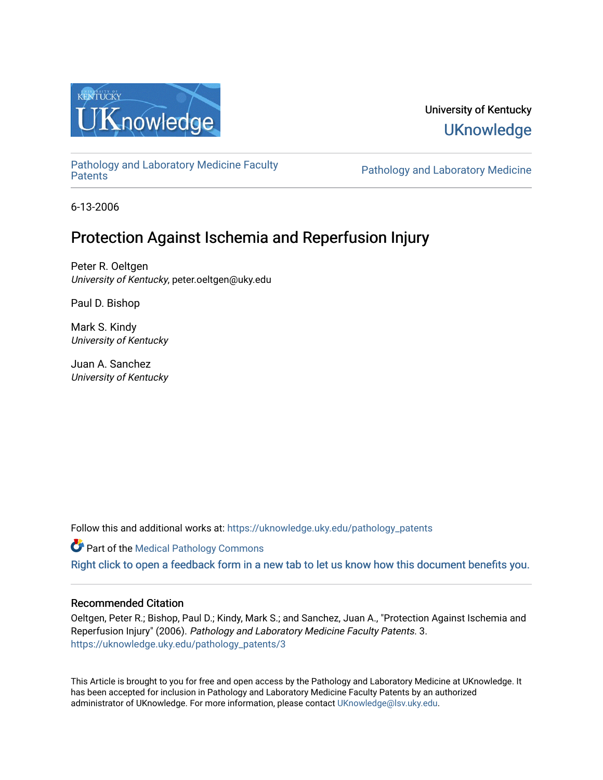

# University of Kentucky **UKnowledge**

[Pathology and Laboratory Medicine Faculty](https://uknowledge.uky.edu/pathology_patents) 

Pathology and Laboratory Medicine

6-13-2006

# Protection Against Ischemia and Reperfusion Injury

Peter R. Oeltgen University of Kentucky, peter.oeltgen@uky.edu

Paul D. Bishop

Mark S. Kindy University of Kentucky

Juan A. Sanchez University of Kentucky

Follow this and additional works at: [https://uknowledge.uky.edu/pathology\\_patents](https://uknowledge.uky.edu/pathology_patents?utm_source=uknowledge.uky.edu%2Fpathology_patents%2F3&utm_medium=PDF&utm_campaign=PDFCoverPages) 

**Part of the [Medical Pathology Commons](http://network.bepress.com/hgg/discipline/676?utm_source=uknowledge.uky.edu%2Fpathology_patents%2F3&utm_medium=PDF&utm_campaign=PDFCoverPages)** 

[Right click to open a feedback form in a new tab to let us know how this document benefits you.](https://uky.az1.qualtrics.com/jfe/form/SV_9mq8fx2GnONRfz7)

## Recommended Citation

Oeltgen, Peter R.; Bishop, Paul D.; Kindy, Mark S.; and Sanchez, Juan A., "Protection Against Ischemia and Reperfusion Injury" (2006). Pathology and Laboratory Medicine Faculty Patents. 3. [https://uknowledge.uky.edu/pathology\\_patents/3](https://uknowledge.uky.edu/pathology_patents/3?utm_source=uknowledge.uky.edu%2Fpathology_patents%2F3&utm_medium=PDF&utm_campaign=PDFCoverPages)

This Article is brought to you for free and open access by the Pathology and Laboratory Medicine at UKnowledge. It has been accepted for inclusion in Pathology and Laboratory Medicine Faculty Patents by an authorized administrator of UKnowledge. For more information, please contact [UKnowledge@lsv.uky.edu](mailto:UKnowledge@lsv.uky.edu).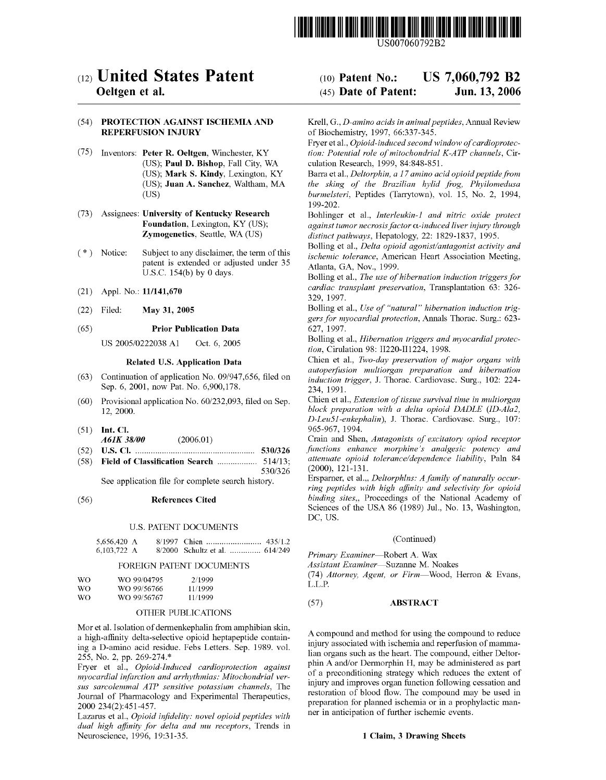

US007060792B2

## (12) United States Patent

## Oeltgen et al.

## (54) PROTECTION AGAINST ISCHEMIA AND REPERFUSION INJURY

- (75) Inventors: Peter R. Oeltgen, Winchester, KY (US); Paul D. Bishop, Fall City, WA (US); Mark S. Kindy, Lexington, KY (US); Juan A. Sanchez, Waltham, MA (Us)
- (73) Assignees: University of Kentucky Research Foundation, Lexington, KY (US); Zymogenetics, Seattle, WA (US)
- ( \* ) Notice: Subject to any disclaimer, the term of this patent is extended or adjusted under 35 U.S.C. 154(b) by 0 days.
- (21) Appl. No.: 11/141,670
- (22) Filed: May 31, 2005

## (65) Prior Publication Data

US 2005/0222038 A1 Oct. 6, 2005

## Related U.S. Application Data

- $(63)$  Continuation of application No. 09/947,656, filed on Sep. 6, 2001, noW Pat. No. 6,900,178.
- $(60)$  Provisional application No.  $60/232,093$ , filed on Sep. 12, 2000.
- (51) Int. Cl.
- A61K 38/00 (2006.01)
- (52) U.S. Cl. .................................................... .. 530/326 (58) Field of Classification Search .................. 514/13;
- 530/326

See application file for complete search history.

## (56) References Cited

## U.S. PATENT DOCUMENTS

| 5,656,420 A |                                |  |
|-------------|--------------------------------|--|
| 6,103,722 A | 8/2000 Schultz et al.  614/249 |  |

## FOREIGN PATENT DOCUMENTS

| WΩ  | WO 99/04795 | 2/1999  |
|-----|-------------|---------|
| WΩ  | WO 99/56766 | 11/1999 |
| WO. | WO 99/56767 | 11/1999 |

## OTHER PUBLICATIONS

Mor et al. Isolation of dermenkephalin from amphibian skin, a high-affinity delta-selective opioid heptapeptide containing a D-amino acid residue. Febs Letters. Sep. 1989. vol. 255, No. 2, pp. 269-274.\*

Fryer et al., Opioid-Induced cardioprotection against myocardial infarction and arrhythmias: Mitochondrial ver sus sarcolemmal ATP sensitive potassium channels, The Journal of Pharmacology and Experimental Therapeutics, 2000 234(2):451-457.

Lazarus et al., Opioid infidelity: novel opioid peptides with dual high affinity for delta and mu receptors, Trends in Neuroscience, 1996, 19:31-35.

#### US 7,060,792 B2 Jun. 13, 2006 (10) Patent N0.: (45) Date of Patent:

Krell, G., D-amino acids in animal peptides, Annual RevieW of Biochemistry, 1997, 66:337-345.

Fryer et al., Opioid-induced second window of cardioprotec tion: Potential role of mitochondrial K-ATP channels, Circulation Research, 1999, 84:848-851.

Barra et al., Deltorphin, a 17 amino acid opioid peptide from the sking of the Brazilian hylid frog, Phyilomedusa burmelsteri, Peptides (TarrytoWn), vol. 15, No. 2, 1994, 199-202.

Bohlinger et al., Interleukin-1 and nitric oxide protect against tumor necrosis factor  $\alpha$ -induced liver injury through distinct pathways, Hepatology, 22: 1829-1837, 1995.

Bolling et al., Delta opioid agonist/antagonist activity and ischemic tolerance, American Heart Association Meeting, Atlanta, GA, Nov., 1999.

Bolling et al., The use of hibernation induction triggers for cardiac transplant preservation, Transplantation 63: 326 329, 1997.

Bolling et al., Use of "natural" hibernation induction triggers for myocardial protection, Annals Thorac. Surg.: 623 627, 1997.

Bolling et al., Hibernation triggers and myocardial protec tion, Cirulation 98: 11220-111224, 1998.

Chien et al., Two-day preservation of major organs with autoperfusion multiorgan preparation and hibernation induction trigger, J. Thorac. Cardiovasc. Surg., 102: 224 234, 1991.

Chien et al., Extension of tissue survival time in multiorgan block preparation with a delta opioid DADLE (ID-AlaZ, D-LeuSI-enkephalin), J. Thorac. Cardiovasc. Surg., 107: 965-967, 1994.

Crain and Shen, Antagonists of excitatory opiod receptor functions enhance morphine's analgesic potency and attenuate opioid tolerance/dependence liability, Paln 84 (2000), 121-131.

Ersparner, et al.,, Deltorphlns: A family of naturally occur ring peptides with high affinity and selectivity for opioid binding sites., Proceedings of the National Academy of Sciences of the USA 86 (1989) Jul., No. 13, Washington, DC, US.

## (Continued)

Primary Examiner-Robert A. Wax

Assistant Examiner-Suzanne M. Noakes

(74) Attorney, Agent, or Firm-Wood, Herron & Evans, L.L.P.

## (57) ABSTRACT

A compound and method for using the compound to reduce injury associated With ischemia and reperfusion of mamma lian organs such as the heart. The compound, either Deltor phin A and/or Dermorphin H, may be administered as part of a preconditioning strategy Which reduces the extent of injury and improves organ function following cessation and restoration of blood How. The compound may be used in preparation for planned ischemia or in a prophylactic man ner in anticipation of further ischemic events.

## 1 Claim, 3 Drawing Sheets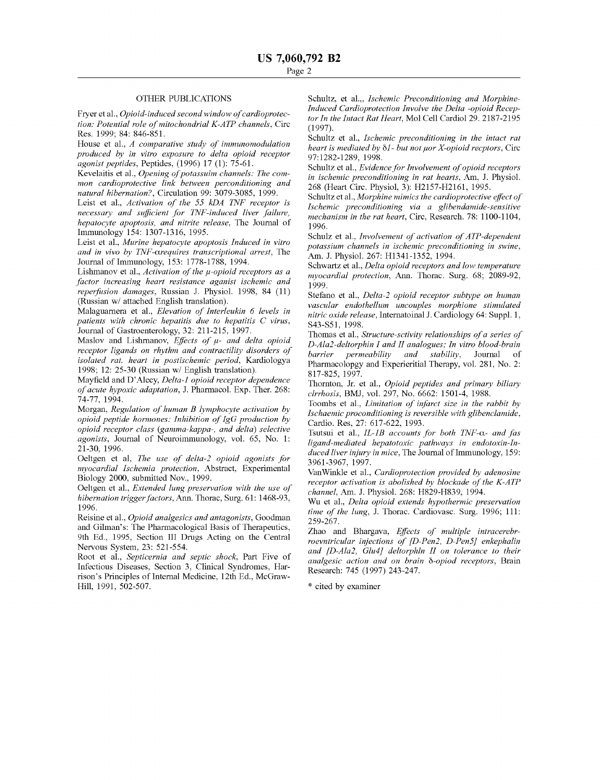### OTHER PUBLICATIONS

Fryer et al., Opioid-induced second window of cardioprotec tion: Potential role of mitochondrial K-ATP channels, Circ Res. 1999; 84: 846-851.

House et al., A comparative study of immunomodulation produced by in vitro exposure to delta opioid receptor agonist peptides, Peptides, (1996) 17 (1): 75-61.

KeVelaitis et al., Opening of potassuim channels: The com mon cardioprotective link between perconditioning and natural hibernation?, Circulation 99: 3079-3085, 1999.

Leist et al., Activation of the 55 kDA INF receptor is necessary and sufficient for TNF-induced liver failure, hepatocyte apoptosis, and nitrite release, The Journal of Immunology 154: 1307-1316, 1995.

Leist et al., Murine hepatocyte apoptosis Induced in vitro and in vivo by INF-arequires transcriptional arrest, The Journal of Immunology, 153: 1778-1788, 1994.

Lishmanov et al., Activation of the  $\mu$ -opioid receptors as a factor increasing heart resistance aganist ischemic and reperfusion damages, Russian J. Physiol. 1998, 84 (11) (Russian W/ attached English translation).

Malaguamera et al., Elevation of Interleukin 6 levels in patients with chronic hepatitis due to hepatitis C virus, Journal of Gastroenterology, 32: 211-215, 1997.

Maslov and Lishmanov, Effects of  $\mu$ - and delta opioid receptor ligands on rhythm and contractility disorders of isolated rat. heart in postischemic period, Kardiologya 1998; 12: 25-30 (Russian W/ English translation).

Mayfield and D'Alecy, Delta-1 opioid receptor dependence of acute hypoxic adaptation, J. Phannacol. Exp. Ther. 268: 74-77, 1994.

Morgan, Regulation of human B lymphocyte activation by opioid peptide hormones: Inhibition of  $I gG$  production by opioid receptor class (gamma-kappa-, and delta) selective agonists, Journal of Neuroimmunology, vol. 65, No. 1: 21-30, 1996.

Oeltgen et al, The use of delta-2 opioid agonists for myocardial Ischemia protection, Abstract, Experimental Biology 2000, submitted Nov., 1999.

Oeltgen et al., Extended lung preservation with the use of hibernation trigger factors, Ann. Thorac, Surg. 61: 1468-93, 1996.

Reisine et al., Opioid analgesics and antagonists, Goodman and Gilman's: The Pharmacological Basis of Therapeutics, 9th Ed., 1995, Section III Drugs Acting on the Central Nervous System, 23: 521-554.

Root et al., Septicernia and septic shock, Part Five of Infectious Diseases, Section 3, Clinical Syndromes, Har rison's Principles of Internal Medicine, 12th Ed., McGraW Hill, 1991, 502-507.

Schultz, et al.,, Ischemic Preconditioning and Morphine-Induced Cardioprotection Involve the Delta -opioid Recep tor In the Intact Rat Heart, Mol Cell Cardiol 29. 2187-2195 (1997).

Schultz et al., *Ischemic preconditioning in the intact rat* heart is mediated by  $\delta l$ - but not µor X-opioid recptors, Circ 97:1282-1289, 1998.

Schultz et al., Evidence for Involvement of opioid receptors in ischemic preconditioning in rat hearts, Am, J. Physiol. 268 (Heart Circ. Physiol, 3): H2157-H2161, 1995.

Schultz et al., Morphine mimics the cardioprotective effect of Ischemic preconditioning via a glibendamide-sensitive mechanism in the rat heart, Circ, Research. 78: 1100-1104, 1996.

Schulz et al., Involvement of activation of ATP-dependent potassium channels in ischemic preconditioning in swine, Am. J. Physiol. 267: H1341-1352, 1994.

Schwartz et al., Delta opioid receptors and low temperature myocardial protection, Ann. Thorac. Surg. 68; 2089-92, 1999.

Stefano et al., Delta-2 opioid receptor subtype on human vascular endothellum uncouples morphione stimulated nitric oxide release, Internatoinal J. Cardiology 64: Suppl. 1, S43-S51, 1998.

Thomas et al., Structure-sctivity relationships of a series of D-AlaZ-deltorphin I and II analogues; In vitro blood-brain barrier permeability and stability, Journal of Pharmacolopgy and Experieritial Therapy, vol. 281, No. 2: 817-825, 1997.

Thornton, Jr. et al., Opioid peptides and primary biliary clrrhosis, BMJ, VOl. 297, No. 6662: 1501-4, 1988.

Toombs et al., Limitation of infarct size in the rabbit by Ischaemic proconditioning is reversible with glibenclamide, Cardio. Res, 27: 617-622, 1993.

Tsutsui et al.,  $IL$ -1B accounts for both  $TNF$ - $\alpha$ - and fas ligand-mediated hepatotoxic pathways in endotoxin-In duced liver injury in mice, The Journal of Immunology, 159: 3961-3967, 1997.

VanWinkle et al., Cardioprotection provided by adenosine receptor activation is abolished by blockade of the K-ATP channel, Am. J. Physiol. 268: H829-H839, 1994.

Wu et al., Delta opioid extends hypothermic preservation time of the lung, J. Thorac. Cardiovasc. Surg. 1996; 111: 259-267.

Zhao and Bhargava, Effects of multiple intracerebrroevntricular injections of [D-PenZ, D-Pen5] enkephalin and [D-AlaZ, Glu4] deltorphln II on tolerance to their analgesic action and on brain  $\delta$ -opiod receptors, Brain Research: 745 (1997) 243-247.

\* cited by examiner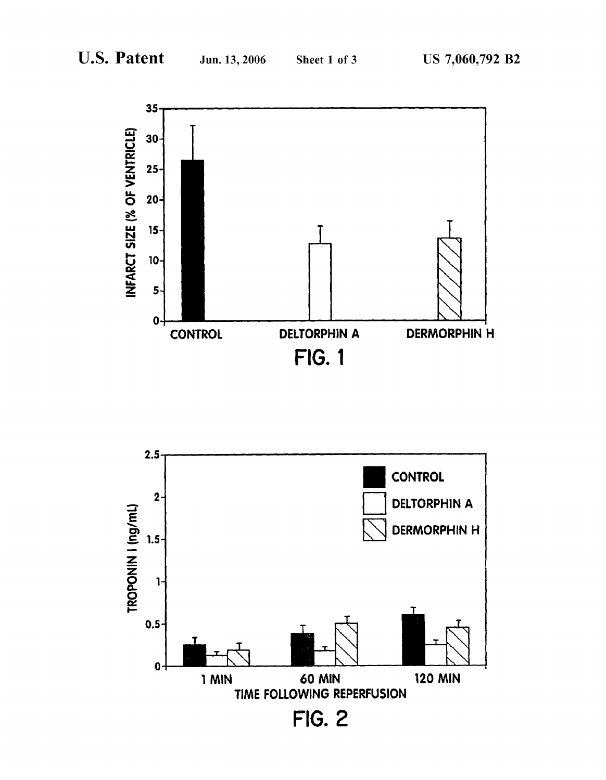

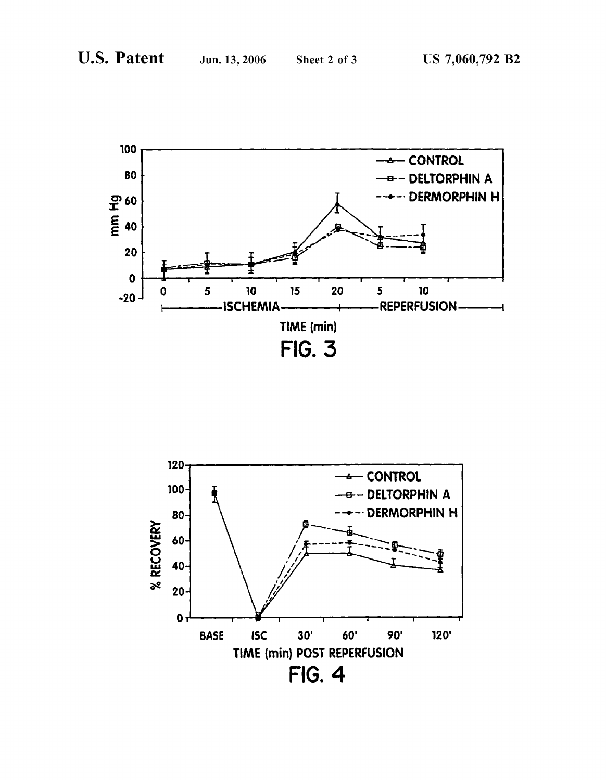

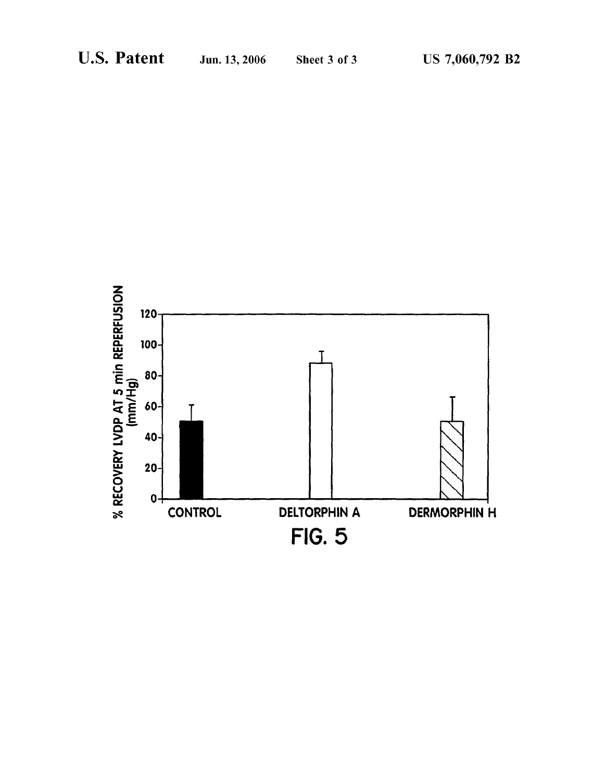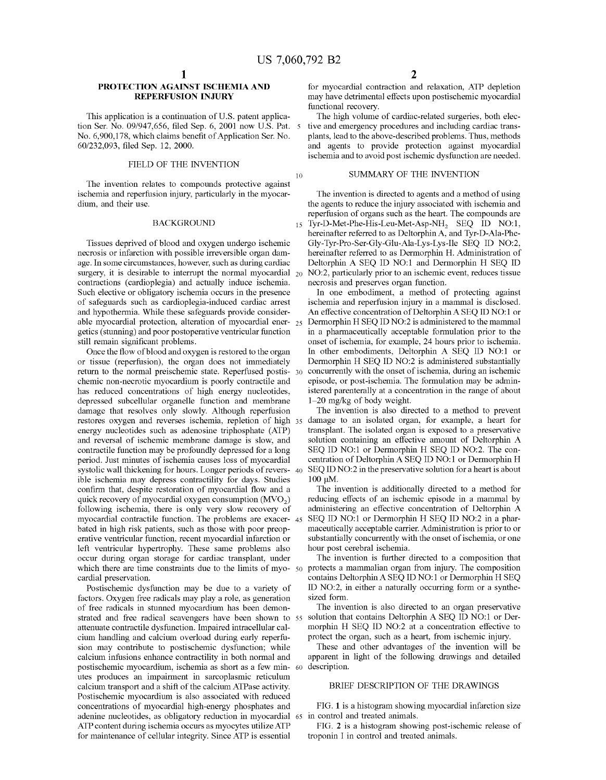15

## PROTECTION AGAINST ISCHEMIA AND REPERFUSION INJURY

This application is a continuation of U.S. patent application Ser. No. 09/947,656, filed Sep. 6, 2001 now U.S. Pat. 5 No. 6,900,178, which claims benefit of Application Ser. No. 60/232,093, filed Sep. 12, 2000.

## FIELD OF THE INVENTION

The invention relates to compounds protective against ischemia and reperfusion injury, particularly in the myocar dium, and their use.

## BACKGROUND

Tissues deprived of blood and oxygen undergo ischemic necrosis or infarction With possible irreversible organ dam age. In some circumstances, however, such as during cardiac surgery, it is desirable to interrupt the normal myocardial 20 contractions (cardioplegia) and actually induce ischemia. Such elective or obligatory ischemia occurs in the presence of safeguards such as cardioplegia-induced cardiac arrest and hypothermia. While these safeguards provide consider able myocardial protection, alteration of myocardial ener- $_{25}$ getics (stunning) and poor postoperative ventricular function still remain significant problems.

Once the How of blood and oxygen is restored to the organ or tissue (reperfusion), the organ does not immediately return to the normal preischemic state. Reperfused postis- 30 chemic non-necrotic myocardium is poorly contractile and has reduced concentrations of high energy nucleotides, depressed subcellular organelle function and membrane damage that resolves only sloWly. Although reperfusion restores oxygen and reverses ischemia, repletion of high energy nucleotides such as adenosine triphosphate (ATP) and reversal of ischemic membrane damage is sloW, and contractile function may be profoundly depressed for a long period. Just minutes of ischemia causes loss of myocardial systolic wall thickening for hours. Longer periods of revers-  $\,$  40  $\,$ ible ischemia may depress contractility for days. Studies confirm that, despite restoration of myocardial flow and a quick recovery of myocardial oxygen consumption  $(MVO<sub>2</sub>)$ following ischemia, there is only very slow recovery of myocardial contractile function. The problems are exacer- 45 bated in high risk patients, such as those With poor preop erative ventricular function, recent myocardial infarction or left ventricular hypertrophy. These same problems also occur during organ storage for cardiac transplant, under which there are time constraints due to the limits of myo- 50 cardial preservation.

Postischemic dysfunction may be due to a variety of factors. Oxygen free radicals may play a role, as generation of free radicals in stunned myocardium has been demon strated and free radical scavengers have been shown to 55 attenuate contractile dysfunction. Impaired intracellular cal cium handling and calcium overload during early reperfu sion may contribute to postischemic dysfunction; While calcium infusions enhance contractility in both normal and postischemic myocardium, ischemia as short as a feW min- 60 description. utes produces an impairment in sarcoplasmic reticulum calcium transport and a shift of the calcium ATPase activity. Postischemic myocardium is also associated With reduced concentrations of myocardial high-energy phosphates and adenine nucleotides, as obligatory reduction in myocardial 65 in control and treated animals. ATP content during ischemia occurs as myocytes utilize ATP for maintenance of cellular integrity. Since ATP is essential

for myocardial contraction and relaxation, ATP depletion may have detrimental effects upon postischemic myocardial functional recovery.

The high volume of cardiac-related surgeries, both elec tive and emergency procedures and including cardiac trans plants, lead to the above-described problems. Thus, methods and agents to provide protection against myocardial ischemia and to avoid post ischemic dysfunction are needed.

## SUMMARY OF THE INVENTION

The invention is directed to agents and a method of using the agents to reduce the injury associated With ischemia and reperfusion of organs such as the heart. The compounds are Tyr-D-Met-Phe-His-Leu-Met-Asp-NH<sub>2</sub> SEQ ID NO:1, hereinafter referred to as Deltorphin A, and Tyr-D-Ala-Phe Gly-Tyr-Pro-Ser-Gly-Glu-Ala-Lys-Lys-Ile SEQ ID N012, hereinafter referred to as Dermorphin H. Administration of Deltorphin A SEQ ID NO:1 and Dermorphin H SEQ ID N012, particularly prior to an ischemic event, reduces tissue necrosis and preserves organ function.

In one embodiment, a method of protecting against ischemia and reperfusion injury in a mammal is disclosed. An effective concentration of Deltorphin A SEQ ID NO:1 or Dermorphin H SEQ ID NO:2 is administered to the mammal in a pharmaceutically acceptable formulation prior to the onset of ischemia, for example, 24 hours prior to ischemia. In other embodiments, Deltorphin A SEQ ID NO:1 or Dermorphin H SEQ ID NO:2 is administered substantially concurrently With the onset of ischemia, during an ischemic episode, or post-ischemia. The formulation may be admin istered parenterally at a concentration in the range of about  $1-20$  mg/kg of body weight.

The invention is also directed to a method to prevent damage to an isolated organ, for example, a heart for transplant. The isolated organ is exposed to a preservative solution containing an effective amount of Deltorphin A SEQ ID NO:1 or Dermorphin H SEQ ID NO:2. The concentration of Deltorphin A SEQ ID NO:1 or Dermorphin H SEQ ID NO:2 in the preservative solution for a heart is about 100 uM.

The invention is additionally directed to a method for reducing effects of an ischemic episode in a mammal by administering an effective concentration of Deltorphin A SEQ ID NO:1 or Dermorphin H SEQ ID NO:2 in a pharmaceutically acceptable carrier. Administration is prior to or substantially concurrently With the onset of ischemia, or one hour post cerebral ischemia.

The invention is further directed to a composition that protects a mammalian organ from injury. The composition contains Deltorphin A SEQ ID NO:1 or Dermorphin H SEQ ID N012, in either a naturally occurring form or a synthe sized form.

The invention is also directed to an organ preservative solution that contains Deltorphin A SEQ ID NO:1 or Dermorphin H SEQ ID NO:2 at a concentration effective to protect the organ, such as a heart, from ischemic injury.

These and other advantages of the invention Will be apparent in light of the following drawings and detailed

## BRIEF DESCRIPTION OF THE DRAWINGS

FIG. 1 is a histogram showing myocardial infarction size

FIG. 2 is a histogram showing post-ischemic release of troponin I in control and treated animals.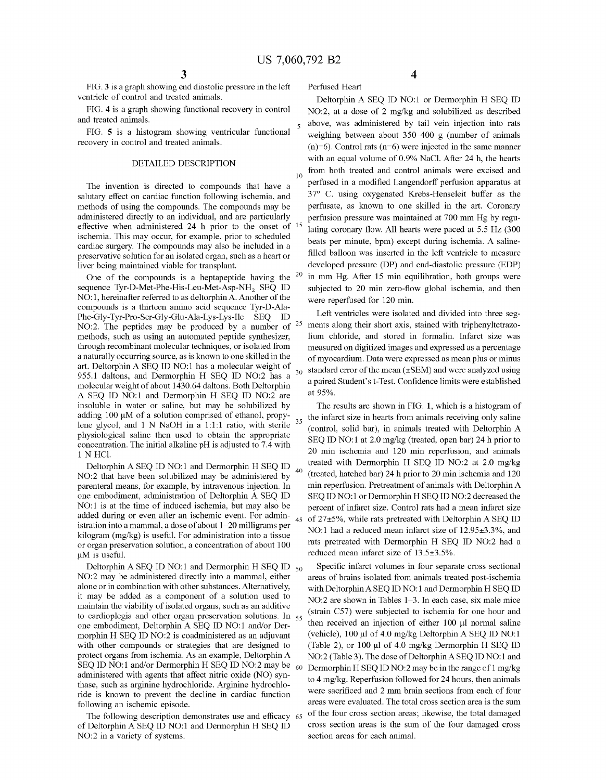Perfused Heart

30

35

40

60

FIG. 3 is a graph showing end diastolic pressure in the left ventricle of control and treated animals.

FIG. 4 is a graph showing functional recovery in control and treated animals.

FIG. 5 is a histogram showing ventricular functional recovery in control and treated animals.

## DETAILED DESCRIPTION

The invention is directed to compounds that have a salutary effect on cardiac function following ischemia, and methods of using the compounds. The compounds may be administered directly to an individual, and are particularly effective when administered 24 h prior to the onset of  $1$ : ischemia. This may occur, for example, prior to scheduled cardiac surgery. The compounds may also be included in a preservative solution for an isolated organ, such as a heart or liver being maintained viable for transplant.

One of the compounds is a heptapeptide having the  $20$ sequence Tyr-D-Met-Phe-His-Leu-Met-Asp-NH<sub>2</sub> SEQ ID NO:1, hereinafter referred to as deltorphin A. Another of the compounds is a thirteen amino acid sequence Tyr-D-Ala Phe-Gly-Tyr-Pro-Ser-Gly-Glu-Ala-Lys-Lys-Ile SEQ ID NO:2. The peptides may be produced by a number of methods, such as using an automated peptide synthesizer, through recombinant molecular techniques, or isolated from a naturally occurring source, as is knoWn to one skilled in the art. Deltorphin A SEQ ID NO:1 has a molecular weight of 955.1 daltons, and Dermorphin H SEQ ID NO:2 has a molecular Weight of about 1430.64 daltons. Both Deltorphin A SEQ ID NO:1 and Dermorphin H SEQ ID NO:2 are insoluble in water or saline, but may be solubilized by adding 100 uM of a solution comprised of ethanol, propy lene glycol, and 1 N NaOH in a 1:1:1 ratio, with sterile physiological saline then used to obtain the appropriate concentration. The initial alkaline pH is adjusted to 7.4 With 1 N HCl. 25

Deltorphin A SEO ID NO:1 and Dermorphin H SEO ID NO:2 that have been solubilized may be administered by parenteral means, for example, by intravenous injection. In one embodiment, administration of Deltorphin A SEQ ID NO:1 is at the time of induced ischemia, but may also be added during or even after an ischemic event. For admin istration into a mammal, a dose of about  $1-20$  milligrams per kilogram (mg/kg) is useful. For administration into a tissue or organ preservation solution, a concentration of about 100 uM is useful.

Deltorphin A SEQ ID NO:1 and Dermorphin H SEQ ID  $_{50}$ N012 may be administered directly into a mammal, either alone or in combination With other substances. Alternatively, it may be added as a component of a solution used to maintain the viability of isolated organs, such as an additive to cardioplegia and other organ preservation solutions. In <sub>55</sub> one embodiment, Deltorphin A SEQ ID NO:1 and/or Dermorphin H SEQ ID NO:2 is coadministered as an adjuvant with other compounds or strategies that are designed to protect organs from ischemia. As an example, Deltorphin A SEQ ID NO:1 and/or Dermorphin H SEQ ID NO:2 may be administered With agents that affect nitric oxide (N0) syn thase, such as arginine hydrochloride. Arginine hydrochlo ride is knoWn to prevent the decline in cardiac function folloWing an ischemic episode.

The following description demonstrates use and efficacy 65 of Deltorphin A SEQ ID NO:1 and Dermorphin H SEQ ID NO:2 in a variety of systems.

4

Deltorphin A SEQ ID NO:1 or Dermorphin H SEQ ID NO:2, at a dose of 2 mg/kg and solubilized as described above, Was administered by tail vein injection into rats weighing between about 350-400 g (number of animals (n)=6). Control rats (n=6) were injected in the same manner with an equal volume of 0.9% NaCl. After 24 h, the hearts from both treated and control animals Were excised and perfused in a modified Langendorff perfusion apparatus at 37° C. using oxygenated Krebs-Henseleit buffer as the perfusate, as knoWn to one skilled in the art. Coronary perfusion pressure Was maintained at 700 mm Hg by regu lating coronary flow. All hearts were paced at  $5.5$  Hz (300) beats per minute, bpm) except during ischemia. A saline filled balloon was inserted in the left ventricle to measure developed pressure (DP) and end-diastolic pressure (EDP) in mm Hg. After 15 min equilibration, both groups Were subjected to 20 min zero-flow global ischemia, and then Were reperfused for 120 min.

Left ventricles Were isolated and divided into three seg ments along their short axis, stained with triphenyltetrazolium chloride, and stored in formalin. Infarct size was measured on digitized images and expressed as a percentage of myocardium. Data Were expressed as mean plus or minus standard error of the mean (±SEM) and were analyzed using a paired Student's t-Test. Confidence limits were established at 95%.

45 of 27±5%, while rats pretreated with Deltorphin A SEQ ID The results are shown in FIG. 1, which is a histogram of the infarct size in hearts from animals receiving only saline (control, solid bar), in animals treated With Deltorphin A SEQ ID NO:1 at 2.0 mg/kg (treated, open bar) 24 h prior to 20 min ischemia and 120 min reperfusion, and animals treated with Dermorphin H SEQ ID NO:2 at 2.0 mg/kg (treated, hatched bar) 24 h prior to 20 min ischemia and 120 min reperfusion. Pretreatment of animals With Deltorphin A SEQ ID NO:1 or Dermorphin H SEQ ID NO:2 decreased the percent of infarct size. Control rats had a mean infarct size NO:1 had a reduced mean infarct size of  $12.95\pm3.3\%$ , and rats pretreated with Dermorphin H SEQ ID NO:2 had a reduced mean infarct size of  $13.5\pm3.5\%$ .

Specific infarct volumes in four separate cross sectional areas of brains isolated from animals treated post-ischemia with Deltorphin A SEQ ID NO:1 and Dermorphin H SEQ ID NO:2 are shown in Tables 1-3. In each case, six male mice (strain C57) Were subjected to ischemia for one hour and then received an injection of either  $100 \mu l$  normal saline (vehicle), 100 µl of 4.0 mg/kg Deltorphin A SEQ ID NO:1 (Table 2), or 100 pl of 4.0 mg/kg Dermorphin H SEQ ID NO:2 (Table 3). The dose of Deltorphin A SEQ ID NO:1 and Dermorphin H SEQ ID NO:2 may be in the range of 1 mg/kg to 4 mg/kg. Reperfusion followed for 24 hours, then animals were sacrificed and 2 mm brain sections from each of four areas Were evaluated. The total cross section area is the sum of the four cross section areas; likeWise, the total damaged cross section areas is the sum of the four damaged cross section areas for each animal.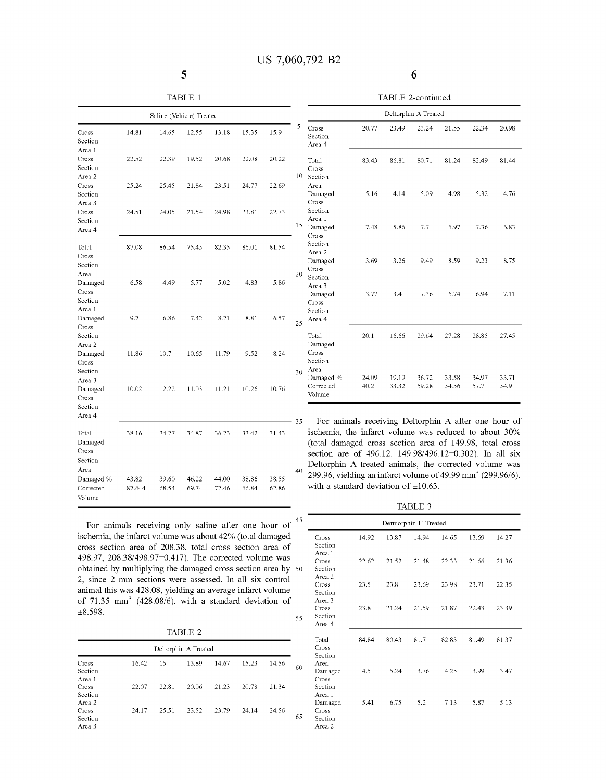|    |       |   |                            | TABLE 2-continued |       |                      |       |       |       |
|----|-------|---|----------------------------|-------------------|-------|----------------------|-------|-------|-------|
|    |       |   |                            |                   |       | Deltorphin A Treated |       |       |       |
| 35 | 15.9  | 5 | Cross<br>Section<br>Area 4 | 20.77             | 23.49 | 23.24                | 21.55 | 22.34 | 20.98 |
| 08 | 20.22 |   | Total                      | 83.43             | 86.81 | 80.71                | 81.24 | 82.49 | 81.44 |

L.

6

| TABLE 2-continued    |  |
|----------------------|--|
| Deltorphin A Treated |  |

|                                                 |                 | Saline (Vehicle) Treated |                |                |                |                |    |
|-------------------------------------------------|-----------------|--------------------------|----------------|----------------|----------------|----------------|----|
| Cross<br>Section                                | 14.81           | 14.65                    | 12.55          | 13.18          | 15.35          | 15.9           | 5  |
| Area 1<br>Cross<br>Section                      | 22.52           | 22.39                    | 19.52          | 20.68          | 22.08          | 20.22          |    |
| Area 2<br>Cross<br>Section                      | 25.24           | 25.45                    | 21.84          | 23.51          | 24.77          | 22.69          | 10 |
| Area 3<br>Cross<br>Section<br>Area 4            | 24.51           | 24.05                    | 21.54          | 24.98          | 23.81          | 22.73          | 15 |
| Total<br>Cross<br>Section                       | 87.08           | 86.54                    | 75.45          | 82.35          | 86.01          | 81.54          |    |
| Area<br>Damaged<br>Cross<br>Section             | 6.58            | 4.49                     | 5.77           | 5.02           | 4.83           | 5.86           | 20 |
| Area 1<br>Damaged<br>Cross<br>Section<br>Area 2 | 9.7             | 6.86                     | 7.42           | 8.21           | 8.81           | 6.57           | 25 |
| Damaged<br>Cross<br>Section<br>Area 3           | 11.86           | 10.7                     | 10.65          | 11.79          | 9.52           | 8.24           | 30 |
| Damaged<br>Cross<br>Section<br>Area 4           | 10.02           | 12.22                    | 11.03          | 11.21          | 10.26          | 10.76          | 35 |
| Total<br>Damaged<br>Cross<br>Section            | 38.16           | 34.27                    | 34.87          | 36.23          | 33.42          | 31.43          |    |
| Area<br>Damaged %<br>Corrected<br>Volume        | 43.82<br>87.644 | 39.60<br>68.54           | 46.22<br>69.74 | 44.00<br>72.46 | 38.86<br>66.84 | 38.55<br>62.86 | 40 |

| Section<br>Area 4                        |               |                |                |                |               |               |
|------------------------------------------|---------------|----------------|----------------|----------------|---------------|---------------|
| Total<br>Cross<br>Section                | 83.43         | 86.81          | 80.71          | 81.24          | 82.49         | 81.44         |
| Area<br>Damaged<br>Cross<br>Section      | 5.16          | 4.14           | 5.09           | 4.98           | 5.32          | 4.76          |
| Area 1<br>Damaged<br>Cross               | 7.48          | 5.86           | 7.7            | 6.97           | 7.36          | 6.83          |
| Section<br>Area 2<br>Damaged<br>Cross    | 3.69          | 3.26           | 9.49           | 8.59           | 9.23          | 8.75          |
| Section<br>Area 3<br>Damaged<br>Cross    | 3.77          | 3.4            | 7.36           | 6.74           | 6.94          | 7.11          |
| Section<br>Area 4                        |               |                |                |                |               |               |
| Total<br>Damaged<br>Cross<br>Section     | 20.1          | 16.66          | 29.64          | 27.28          | 28.85         | 27.45         |
| Area<br>Damaged %<br>Corrected<br>Volume | 24.09<br>40.2 | 19.19<br>33.32 | 36.72<br>59.28 | 33.58<br>54.56 | 34.97<br>57.7 | 33.71<br>54.9 |

For animals receiving Deltorphin A after one hour of ischemia, the infarct volume Was reduced to about 30% (total damaged cross section area of 149.98, total cross section are of 496.12, 149.98/496.12=0.302). In all six Deltorphin A treated animals, the corrected volume Was 299.96, yielding an infarct volume of 49.99 mm<sup>3</sup> (299.96/6), with a standard deviation of  $\pm 10.63$ .

TABLE 3

| Dermorphin H Treated                          |       |       |       |       |       |       |
|-----------------------------------------------|-------|-------|-------|-------|-------|-------|
| Cross<br>Section<br>Area 1                    | 14.92 | 13.87 | 14.94 | 14.65 | 13.69 | 14.27 |
| Cross<br>Section                              | 22.62 | 21.52 | 21.48 | 22.33 | 21.66 | 21.36 |
| Area 2<br>Cross<br>Section                    | 23.5  | 23.8  | 23.69 | 23.98 | 23.71 | 22.35 |
| Area 3<br>Cross<br>Section<br>Area 4          | 23.8  | 21.24 | 21.59 | 21.87 | 22.43 | 23.39 |
| Total<br>Cross<br>Section                     | 84.84 | 80.43 | 81.7  | 82.83 | 81.49 | 81.37 |
| Area<br>Damaged<br>Cross<br>Section<br>Area 1 | 4.5   | 5.24  | 3.76  | 4.25  | 3.99  | 3.47  |
| Damaged<br>Cross<br>Section<br>Area 2         | 5.41  | 6.75  | 5.2   | 7.13  | 5.87  | 5.13  |

For animals receiving only saline after one hour of ischemia, the infarct volume Was about 42% (total damaged cross section area of 208.38, total cross section area of 498.97, 208.38/498.97=0.417). The corrected volume was obtained by multiplying the damaged cross section area by 50 2, since 2 mm sections Were assessed. In all six control animal this Was 428.08, yielding an average infarct volume of 71.35 mm3 (428.08/6), With a standard deviation of  $\pm 8.598.$ 55

TABLE 2

|                                      |       |       | Deltorphin A Treated |       |       |       |    |
|--------------------------------------|-------|-------|----------------------|-------|-------|-------|----|
| Cross<br>Section                     | 16.42 | 15    | 13.89                | 14.67 | 15.23 | 14.56 | 60 |
| Area 1<br>Cross<br>Section<br>Area 2 | 22.07 | 22.81 | 20.06                | 21.23 | 20.78 | 21.34 |    |
| Cross<br>Section<br>Area 3           | 24.17 | 25.51 | 23.52                | 23.79 | 24.14 | 24.56 | 65 |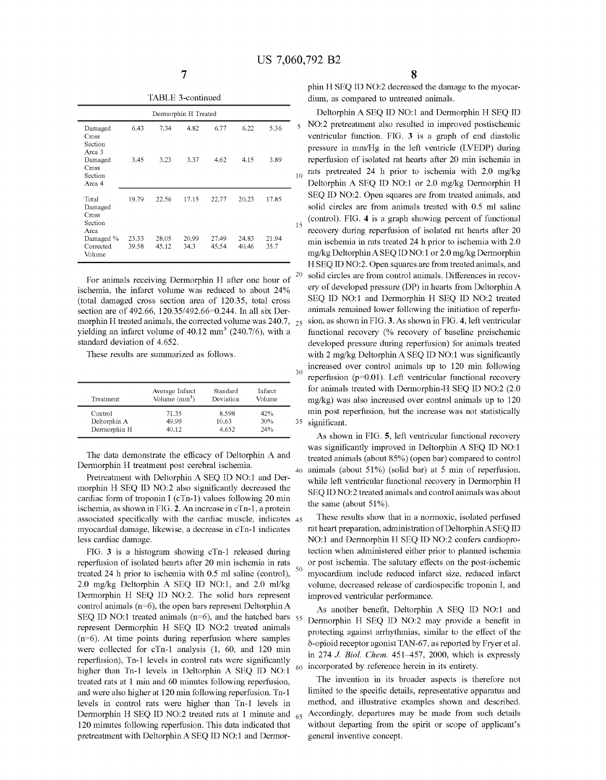15

35

40

60

|  | TABLE 3-continued |
|--|-------------------|
|--|-------------------|

|                                              |                |                | Dermorphin H Treated |                |                |               |
|----------------------------------------------|----------------|----------------|----------------------|----------------|----------------|---------------|
| Damaged<br>Cross<br>Section<br>Area 3        | 6.43           | 7.34           | 4.82                 | 6.77           | 6.22           | 5.36          |
| Damaged<br>Cross<br>Section<br>Area 4        | 3.45           | 3.23           | 3.37                 | 4.62           | 4.15           | 3.89          |
| Total<br>Damaged<br>Cross<br>Section<br>Area | 19.79          | 22.56          | 17.15                | 22.77          | 20.23          | 17.85         |
| Damaged %<br>Corrected<br>Volume             | 23.33<br>39.58 | 28.05<br>45.12 | 20.99<br>34.3        | 27.49<br>45.54 | 24.83<br>40.46 | 21.94<br>35.7 |

For animals receiving Dermorphin H after one hour of ischemia, the infarct volume was reduced to about 24% (total damaged cross section area of 120.35, total cross section are of 492.66, 120.35/492.66=0.244. In all six Dermorphin H treated animals, the corrected volume was  $240.7$ ,  $25$ yielding an infarct volume of  $40.12 \text{ mm}^3$  (240.7/6), with a standard deviation of 4.652. 20

These results are summarized as follows.

| Treatment    | Average Infarct<br>Volume $\text{(mm}^3)$ | Standard<br>Deviation | Infarct<br>Volume |
|--------------|-------------------------------------------|-----------------------|-------------------|
| Control      | 71.35                                     | 8.598                 | 42%               |
| Deltorphin A | 49.99                                     | 10.63                 | 30%               |
| Dermorphin H | 40.12                                     | 4.652                 | 24%               |

The data demonstrate the efficacy of Deltorphin A and Dermorphin H treatment post cerebral ischemia.

Pretreatment with Deltorphin A SEQ ID NO:1 and Dermorphin H SEQ ID NO:2 also significantly decreased the cardiac form of troponin I (cTn-l) values following 20 min ischemia, as shown in FIG. 2. An increase in cTn-l, a protein associated specifically with the cardiac muscle, indicates 45 myocardial damage, likewise, a decrease in cTn-l indicates less cardiac damage.

FIG. 3 is a histogram showing cTn-l released during reperfusion of isolated hearts after 20 min ischemia in rats treated 24 h prior to ischemia with 0.5 ml saline (control), 2.0 mg/kg Deltorphin A SEQ ID NO:1, and 2.0 ml/kg Dermorphin H SEQ ID NO:2. The solid bars represent control animals ( $n=6$ ), the open bars represent Deltorphin A SEQ ID NO:1 treated animals  $(n=6)$ , and the hatched bars  $55$ represent Dermorphin H SEQ ID NO:2 treated animals  $(n=6)$ . At time points during reperfusion where samples were collected for cTn-l analysis (1, 60, and 120 min reperfusion), Tn-1 levels in control rats were significantly higher than Tn-1 levels in Deltorphin A SEQ ID NO:1 treated rats at 1 min and 60 minutes following reperfusion, and were also higher at 120 min following reperfusion. Tn-l levels in control rats were higher than Tn-l levels in Dermorphin H SEQ ID NO:2 treated rats at 1 minute and <sub>65</sub> 120 minutes following reperfusion. This data indicated that pretreatment with Deltorphin A SEQ ID NO:1 and Dermor-

phin H SEQ ID NO:2 decreased the damage to the myocardium, as compared to untreated animals.

Deltorphin A SEQ ID NO:1 and Dermorphin H SEQ ID N012 pretreatment also resulted in improved postischemic ventricular function. FIG. 3 is a graph of end diastolic pressure in mm/Hg in the left ventricle (LVEDP) during reperfusion of isolated rat hearts after 20 min ischemia in rats pretreated 24 h prior to ischemia with 2.0 mg/kg Deltorphin A SEQ ID NO:1 or 2.0 mg/kg Dermorphin H SEQ ID NO:2. Open squares are from treated animals, and solid circles are from animals treated with 0.5 ml saline (control). FIG. 4 is a graph showing percent of functional recovery during reperfusion of isolated rat hearts after 20 min ischemia in rats treated 24 h prior to ischemia with 2.0 mg/kg Deltorphin A SEO ID NO:1 or  $2.0$  mg/kg Dermorphin H SEQ ID NO:2. Open squares are from treated animals, and solid circles are from control animals. Differences in recov ery of developed pressure (DP) in hearts from Deltorphin A SEQ ID NO:1 and Dermorphin H SEQ ID NO:2 treated animals remained lower following the initiation of reperfu sion, as shown in FIG. 3. As shown in FIG. 4, left ventricular functional recovery (% recovery of baseline preischemic developed pressure during reperfusion) for animals treated with  $2 \text{ mg/kg}$  Deltorphin A SEQ ID NO:1 was significantly increased over control animals up to 120 min following reperfusion ( $p=0.01$ ). Left ventricular functional recovery for animals treated with Dermorphin-H SEQ ID NO:2 (2.0) mg/kg) was also increased over control animals up to 120 min post reperfusion, but the increase was not statistically significant.

As shown in FIG. 5, left ventricular functional recovery was significantly improved in Deltorphin A SEQ ID NO:1 treated animals (about 85%) (open bar) compared to control animals (about 51%) (solid bar) at 5 min of reperfusion, while left ventricular functional recovery in Dermorphin H SEQ ID NO:2 treated animals and control animals was about the same (about 51%).

These results show that in a normoxic, isolated perfused rat heart preparation, administration of Deltorphin A SEQ ID NO:1 and Dermorphin H SEQ ID NO:2 confers cardioprotection when administered either prior to planned ischemia or post ischemia. The salutary effects on the post-ischemic myocardium include reduced infarct size, reduced infarct volume, decreased release of cardiospecific troponin I, and improved ventricular performance.

As another benefit, Deltorphin A SEQ ID NO:1 and Dermorphin H SEQ ID NO:2 may provide a benefit in protecting against arrhythmias, similar to the effect of the o-opioid receptor agonist TAN-67, as reported by Fryer et al. in  $274$  J. Biol. Chem.  $451-457$ ,  $2000$ , which is expressly incorporated by reference herein in its entirety.

The invention in its broader aspects is therefore not limited to the specific details, representative apparatus and method, and illustrative examples shown and described. Accordingly, departures may be made from such details without departing from the spirit or scope of applicant's general inventive concept.